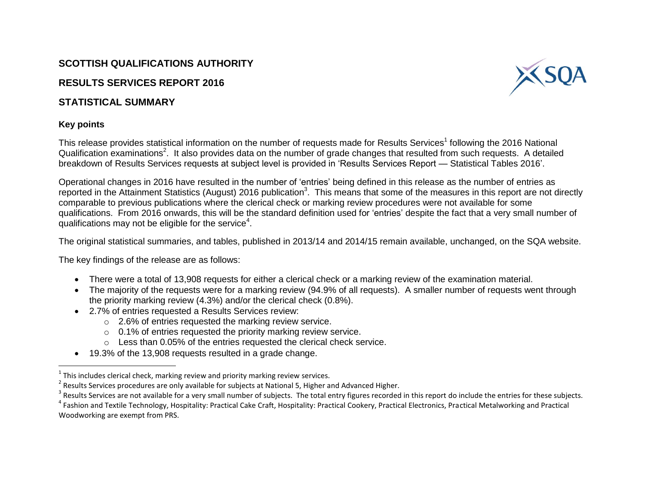# **SCOTTISH QUALIFICATIONS AUTHORITY**

# **RESULTS SERVICES REPORT 2016**

# **STATISTICAL SUMMARY**

# **Key points**

 $\overline{\phantom{a}}$ 

This release provides statistical information on the number of requests made for Results Services<sup>1</sup> following the 2016 National Qualification examinations<sup>2</sup>. It also provides data on the number of grade changes that resulted from such requests. A detailed breakdown of Results Services requests at subject level is provided in 'Results Services Report — Statistical Tables 2016'.

Operational changes in 2016 have resulted in the number of 'entries' being defined in this release as the number of entries as reported in the Attainment Statistics (August) 2016 publication<sup>3</sup>. This means that some of the measures in this report are not directly comparable to previous publications where the clerical check or marking review procedures were not available for some qualifications. From 2016 onwards, this will be the standard definition used for 'entries' despite the fact that a very small number of qualifications may not be eligible for the service<sup>4</sup>.

The original statistical summaries, and tables, published in 2013/14 and 2014/15 remain available, unchanged, on the SQA website.

The key findings of the release are as follows:

- There were a total of 13,908 requests for either a clerical check or a marking review of the examination material.
- The majority of the requests were for a marking review (94.9% of all requests). A smaller number of requests went through the priority marking review (4.3%) and/or the clerical check (0.8%).
- 2.7% of entries requested a Results Services review:
	- o 2.6% of entries requested the marking review service.
	- o 0.1% of entries requested the priority marking review service.
	- o Less than 0.05% of the entries requested the clerical check service.
- 19.3% of the 13,908 requests resulted in a grade change.



 $^1$  This includes clerical check, marking review and priority marking review services.

 $^{2}$  Results Services procedures are only available for subjects at National 5, Higher and Advanced Higher.

 $^3$  Results Services are not available for a very small number of subjects. The total entry figures recorded in this report do include the entries for these subjects.

<sup>&</sup>lt;sup>4</sup> Fashion and Textile Technology, Hospitality: Practical Cake Craft, Hospitality: Practical Cookery, Practical Electronics, Practical Metalworking and Practical Woodworking are exempt from PRS.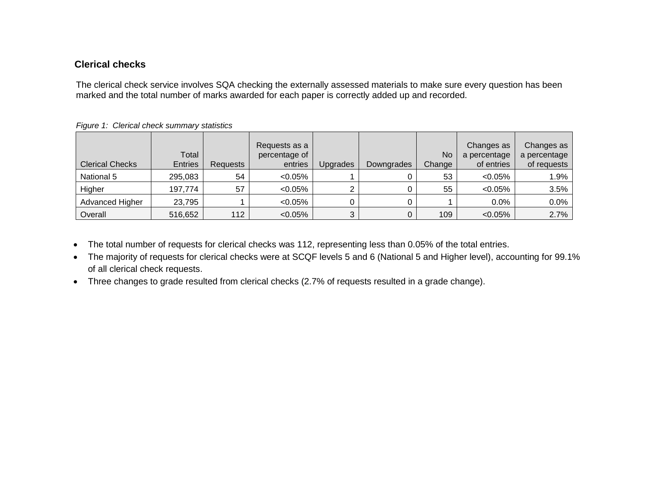# **Clerical checks**

The clerical check service involves SQA checking the externally assessed materials to make sure every question has been marked and the total number of marks awarded for each paper is correctly added up and recorded.

|                        |                |                 | Requests as a |                 |            |        | Changes as   | Changes as   |
|------------------------|----------------|-----------------|---------------|-----------------|------------|--------|--------------|--------------|
|                        | Total          |                 | percentage of |                 |            | No     | a percentage | a percentage |
| <b>Clerical Checks</b> | <b>Entries</b> | <b>Requests</b> | entries       | <b>Upgrades</b> | Downgrades | Change | of entries   | of requests  |
| National 5             | 295,083        | 54              | $< 0.05\%$    |                 |            | 53     | $< 0.05\%$   | 1.9%         |
| Higher                 | 197,774        | 57              | $< 0.05\%$    |                 |            | 55     | $< 0.05\%$   | 3.5%         |
| Advanced Higher        | 23,795         |                 | $< 0.05\%$    |                 |            |        | $0.0\%$      | 0.0%         |
| Overall                | 516,652        | 112             | $< 0.05\%$    | ບ               | 0          | 109    | $< 0.05\%$   | 2.7%         |

*Figure 1: Clerical check summary statistics*

- The total number of requests for clerical checks was 112, representing less than 0.05% of the total entries.
- The majority of requests for clerical checks were at SCQF levels 5 and 6 (National 5 and Higher level), accounting for 99.1% of all clerical check requests.
- Three changes to grade resulted from clerical checks (2.7% of requests resulted in a grade change).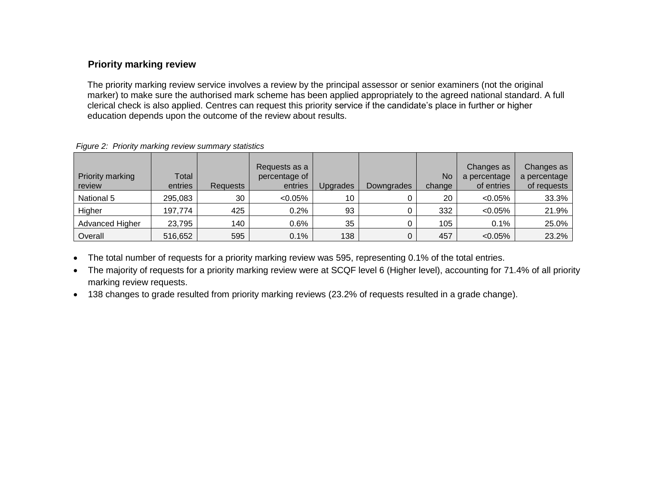## **Priority marking review**

The priority marking review service involves a review by the principal assessor or senior examiners (not the original marker) to make sure the authorised mark scheme has been applied appropriately to the agreed national standard. A full clerical check is also applied. Centres can request this priority service if the candidate's place in further or higher education depends upon the outcome of the review about results.

| Priority marking | Total   |                 | Requests as a<br>percentage of |          |            | No     | Changes as<br>a percentage | Changes as<br>a percentage |
|------------------|---------|-----------------|--------------------------------|----------|------------|--------|----------------------------|----------------------------|
| review           | entries | <b>Requests</b> | entries                        | Upgrades | Downgrades | change | of entries                 | of requests                |
| National 5       | 295,083 | 30              | $< 0.05\%$                     | 10       | 0          | 20     | $< 0.05\%$                 | 33.3%                      |
| Higher           | 197,774 | 425             | 0.2%                           | 93       | 0          | 332    | $< 0.05\%$                 | 21.9%                      |
| Advanced Higher  | 23,795  | 140             | $0.6\%$                        | 35       |            | 105    | 0.1%                       | 25.0%                      |
| Overall          | 516,652 | 595             | 0.1%                           | 138      | 0          | 457    | $< 0.05\%$                 | 23.2%                      |

### *Figure 2: Priority marking review summary statistics*

The total number of requests for a priority marking review was 595, representing 0.1% of the total entries.

 The majority of requests for a priority marking review were at SCQF level 6 (Higher level), accounting for 71.4% of all priority marking review requests.

138 changes to grade resulted from priority marking reviews (23.2% of requests resulted in a grade change).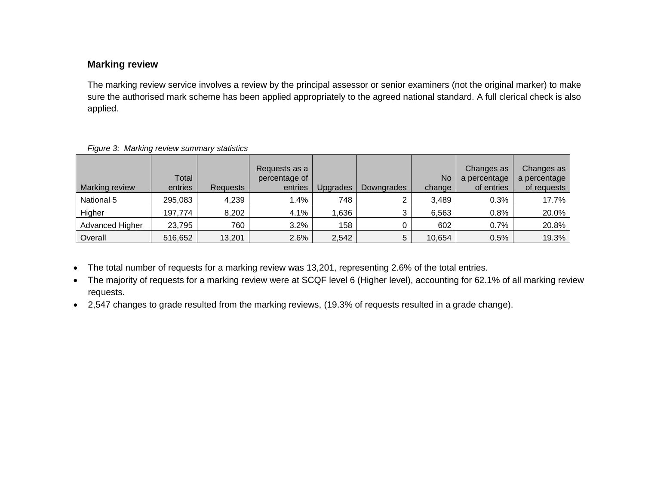## **Marking review**

The marking review service involves a review by the principal assessor or senior examiners (not the original marker) to make sure the authorised mark scheme has been applied appropriately to the agreed national standard. A full clerical check is also applied.

| <b>Marking review</b> | Total<br>entries | Requests | Requests as a<br>percentage of<br>entries | Upgrades | Downgrades | No.<br>change | Changes as<br>a percentage<br>of entries | Changes as<br>a percentage<br>of requests |
|-----------------------|------------------|----------|-------------------------------------------|----------|------------|---------------|------------------------------------------|-------------------------------------------|
| National 5            | 295,083          | 4,239    | l.4%                                      | 748      | ົ          | 3,489         | 0.3%                                     | 17.7%                                     |
| Higher                | 197,774          | 8,202    | 4.1%                                      | 636, ا   | 3          | 6,563         | 0.8%                                     | 20.0%                                     |
| Advanced Higher       | 23,795           | 760      | 3.2%                                      | 158      |            | 602           | 0.7%                                     | 20.8%                                     |
| Overall               | 516,652          | 13,201   | 2.6%                                      | 2,542    | 5          | 10,654        | 0.5%                                     | 19.3%                                     |

### *Figure 3: Marking review summary statistics*

- The total number of requests for a marking review was 13,201, representing 2.6% of the total entries.
- The majority of requests for a marking review were at SCQF level 6 (Higher level), accounting for 62.1% of all marking review requests.
- 2,547 changes to grade resulted from the marking reviews, (19.3% of requests resulted in a grade change).